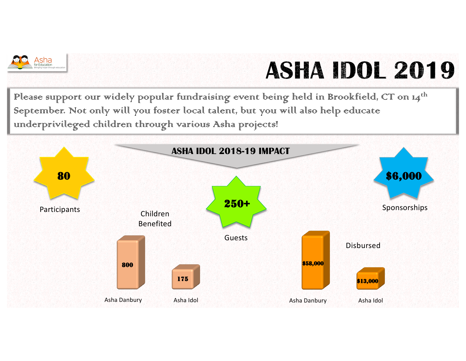

## ASHA IDOL 2019

Please surpport our widely popular fundraising event being held in Brookfield, CT on 14<sup>th</sup> September. Not only will you foster local talent, but you will also help educate underprivileged children through various Asha projects!